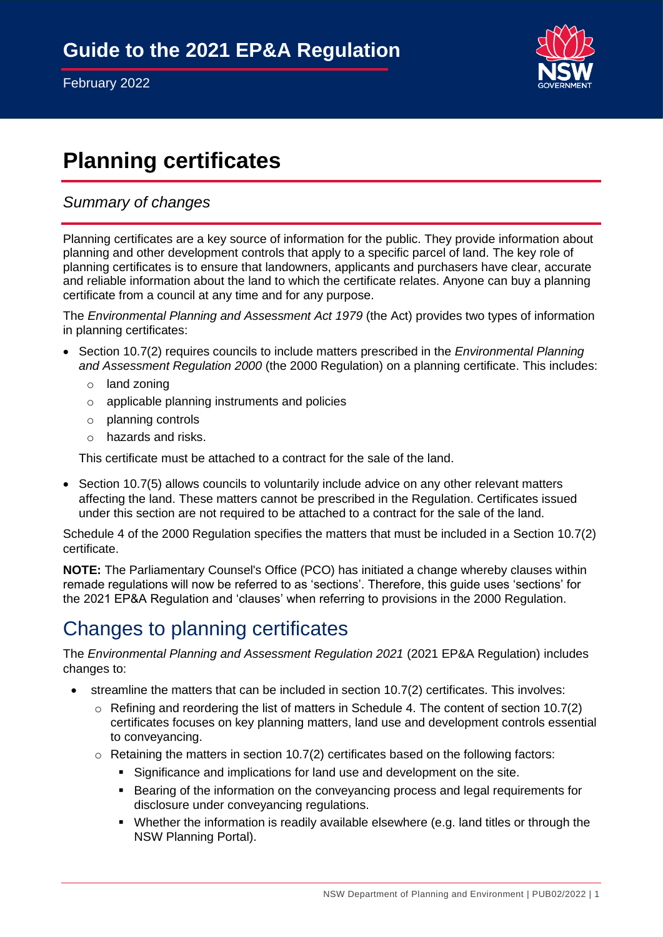

# **Planning certificates**

### *Summary of changes*

Planning certificates are a key source of information for the public. They provide information about planning and other development controls that apply to a specific parcel of land. The key role of planning certificates is to ensure that landowners, applicants and purchasers have clear, accurate and reliable information about the land to which the certificate relates. Anyone can buy a planning certificate from a council at any time and for any purpose.

The *Environmental Planning and Assessment Act 1979* (the Act) provides two types of information in planning certificates:

- Section 10.7(2) requires councils to include matters prescribed in the *Environmental Planning and Assessment Regulation 2000* (the 2000 Regulation) on a planning certificate. This includes:
	- o land zoning
	- o applicable planning instruments and policies
	- o planning controls
	- o hazards and risks.

This certificate must be attached to a contract for the sale of the land.

• Section 10.7(5) allows councils to voluntarily include advice on any other relevant matters affecting the land. These matters cannot be prescribed in the Regulation. Certificates issued under this section are not required to be attached to a contract for the sale of the land.

Schedule 4 of the 2000 Regulation specifies the matters that must be included in a Section 10.7(2) certificate.

**NOTE:** The Parliamentary Counsel's Office (PCO) has initiated a change whereby clauses within remade regulations will now be referred to as 'sections'. Therefore, this guide uses 'sections' for the 2021 EP&A Regulation and 'clauses' when referring to provisions in the 2000 Regulation.

## Changes to planning certificates

The *Environmental Planning and Assessment Regulation 2021* (2021 EP&A Regulation) includes changes to:

- streamline the matters that can be included in section 10.7(2) certificates. This involves:
	- $\circ$  Refining and reordering the list of matters in Schedule 4. The content of section 10.7(2) certificates focuses on key planning matters, land use and development controls essential to conveyancing.
	- $\circ$  Retaining the matters in section 10.7(2) certificates based on the following factors:
		- Significance and implications for land use and development on the site.
		- Bearing of the information on the convevancing process and legal requirements for disclosure under conveyancing regulations.
		- Whether the information is readily available elsewhere (e.g. land titles or through the NSW Planning Portal).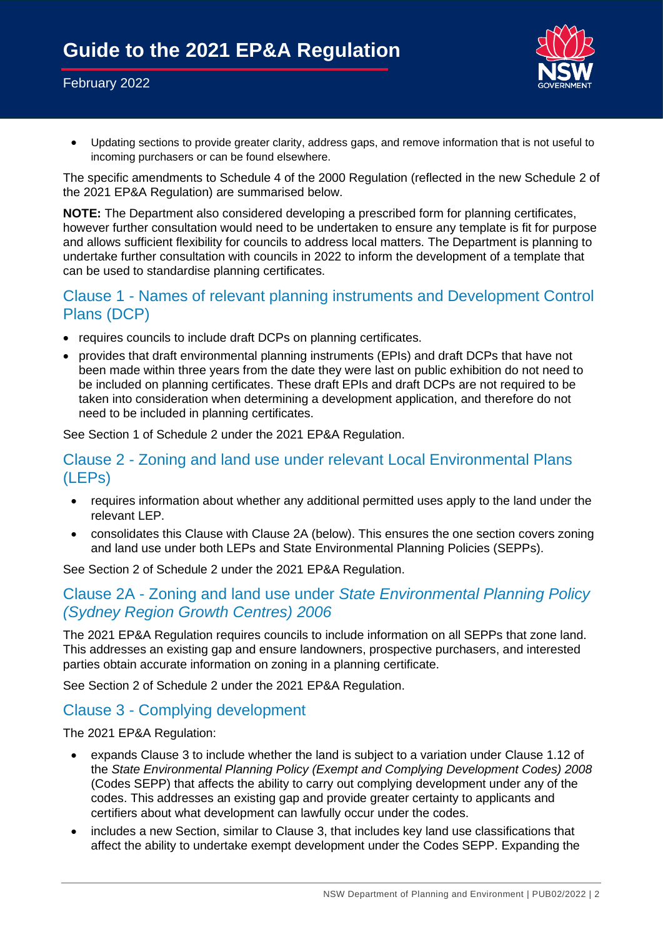#### February 2022



• Updating sections to provide greater clarity, address gaps, and remove information that is not useful to incoming purchasers or can be found elsewhere.

The specific amendments to Schedule 4 of the 2000 Regulation (reflected in the new Schedule 2 of the 2021 EP&A Regulation) are summarised below.

**NOTE:** The Department also considered developing a prescribed form for planning certificates, however further consultation would need to be undertaken to ensure any template is fit for purpose and allows sufficient flexibility for councils to address local matters. The Department is planning to undertake further consultation with councils in 2022 to inform the development of a template that can be used to standardise planning certificates.

#### Clause 1 - Names of relevant planning instruments and Development Control Plans (DCP)

- requires councils to include draft DCPs on planning certificates.
- provides that draft environmental planning instruments (EPIs) and draft DCPs that have not been made within three years from the date they were last on public exhibition do not need to be included on planning certificates. These draft EPIs and draft DCPs are not required to be taken into consideration when determining a development application, and therefore do not need to be included in planning certificates.

See Section 1 of Schedule 2 under the 2021 EP&A Regulation.

#### Clause 2 - Zoning and land use under relevant Local Environmental Plans (LEPs)

- requires information about whether any additional permitted uses apply to the land under the relevant LEP.
- consolidates this Clause with Clause 2A (below). This ensures the one section covers zoning and land use under both LEPs and State Environmental Planning Policies (SEPPs).

See Section 2 of Schedule 2 under the 2021 EP&A Regulation.

#### Clause 2A - Zoning and land use under *State Environmental Planning Policy (Sydney Region Growth Centres) 2006*

The 2021 EP&A Regulation requires councils to include information on all SEPPs that zone land. This addresses an existing gap and ensure landowners, prospective purchasers, and interested parties obtain accurate information on zoning in a planning certificate.

See Section 2 of Schedule 2 under the 2021 EP&A Regulation.

### Clause 3 - Complying development

The 2021 EP&A Regulation:

- expands Clause 3 to include whether the land is subject to a variation under Clause 1.12 of the *State Environmental Planning Policy (Exempt and Complying Development Codes) 2008* (Codes SEPP) that affects the ability to carry out complying development under any of the codes. This addresses an existing gap and provide greater certainty to applicants and certifiers about what development can lawfully occur under the codes.
- includes a new Section, similar to Clause 3, that includes key land use classifications that affect the ability to undertake exempt development under the Codes SEPP. Expanding the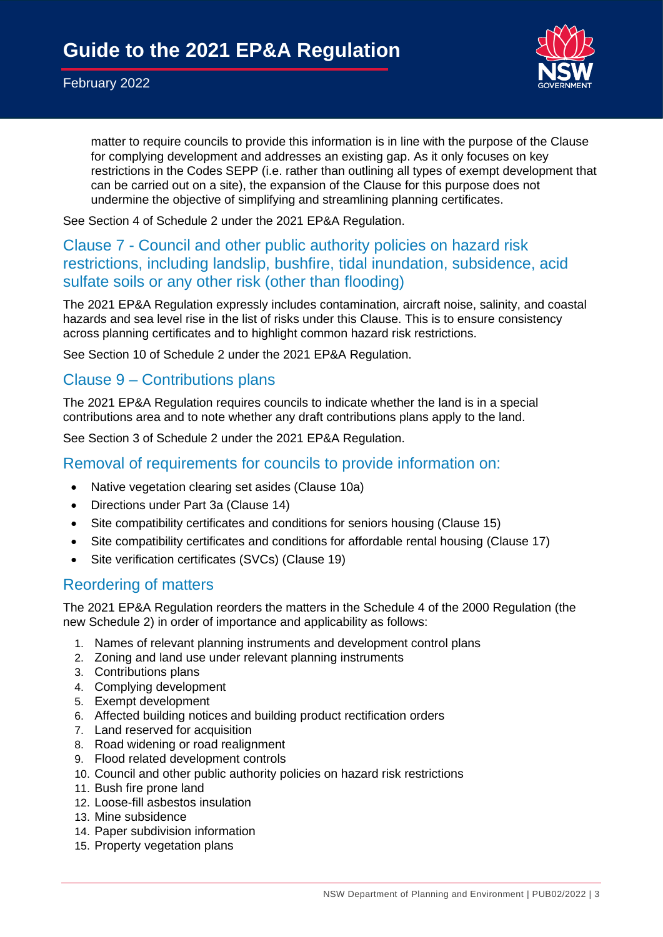

matter to require councils to provide this information is in line with the purpose of the Clause for complying development and addresses an existing gap. As it only focuses on key restrictions in the Codes SEPP (i.e. rather than outlining all types of exempt development that can be carried out on a site), the expansion of the Clause for this purpose does not undermine the objective of simplifying and streamlining planning certificates.

See Section 4 of Schedule 2 under the 2021 EP&A Regulation.

## Clause 7 - Council and other public authority policies on hazard risk restrictions, including landslip, bushfire, tidal inundation, subsidence, acid sulfate soils or any other risk (other than flooding)

The 2021 EP&A Regulation expressly includes contamination, aircraft noise, salinity, and coastal hazards and sea level rise in the list of risks under this Clause. This is to ensure consistency across planning certificates and to highlight common hazard risk restrictions.

See Section 10 of Schedule 2 under the 2021 EP&A Regulation.

#### Clause 9 – Contributions plans

The 2021 EP&A Regulation requires councils to indicate whether the land is in a special contributions area and to note whether any draft contributions plans apply to the land.

See Section 3 of Schedule 2 under the 2021 EP&A Regulation.

#### Removal of requirements for councils to provide information on:

- Native vegetation clearing set asides (Clause 10a)
- Directions under Part 3a (Clause 14)
- Site compatibility certificates and conditions for seniors housing (Clause 15)
- Site compatibility certificates and conditions for affordable rental housing (Clause 17)
- Site verification certificates (SVCs) (Clause 19)

### Reordering of matters

The 2021 EP&A Regulation reorders the matters in the Schedule 4 of the 2000 Regulation (the new Schedule 2) in order of importance and applicability as follows:

- 1. Names of relevant planning instruments and development control plans
- 2. Zoning and land use under relevant planning instruments
- 3. Contributions plans
- 4. Complying development
- 5. Exempt development
- 6. Affected building notices and building product rectification orders
- 7. Land reserved for acquisition
- 8. Road widening or road realignment
- 9. Flood related development controls
- 10. Council and other public authority policies on hazard risk restrictions
- 11. Bush fire prone land
- 12. Loose-fill asbestos insulation
- 13. Mine subsidence
- 14. Paper subdivision information
- 15. Property vegetation plans